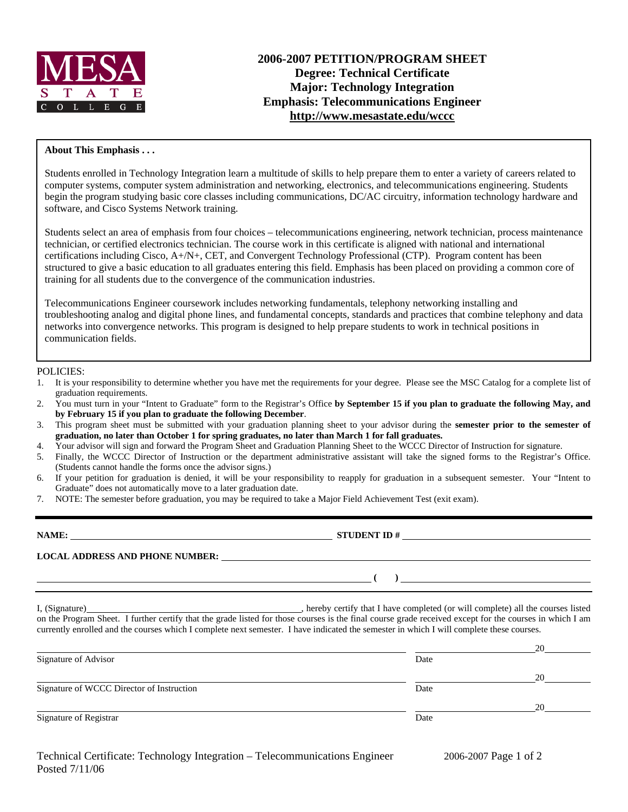

# **2006-2007 PETITION/PROGRAM SHEET Degree: Technical Certificate Major: Technology Integration Emphasis: Telecommunications Engineer http://www.mesastate.edu/wccc**

### **About This Emphasis . . .**

Students enrolled in Technology Integration learn a multitude of skills to help prepare them to enter a variety of careers related to computer systems, computer system administration and networking, electronics, and telecommunications engineering. Students begin the program studying basic core classes including communications, DC/AC circuitry, information technology hardware and software, and Cisco Systems Network training.

Students select an area of emphasis from four choices – telecommunications engineering, network technician, process maintenance technician, or certified electronics technician. The course work in this certificate is aligned with national and international certifications including Cisco, A+/N+, CET, and Convergent Technology Professional (CTP). Program content has been structured to give a basic education to all graduates entering this field. Emphasis has been placed on providing a common core of training for all students due to the convergence of the communication industries.

Telecommunications Engineer coursework includes networking fundamentals, telephony networking installing and troubleshooting analog and digital phone lines, and fundamental concepts, standards and practices that combine telephony and data networks into convergence networks. This program is designed to help prepare students to work in technical positions in communication fields.

#### POLICIES:

- 1. It is your responsibility to determine whether you have met the requirements for your degree. Please see the MSC Catalog for a complete list of graduation requirements.
- 2. You must turn in your "Intent to Graduate" form to the Registrar's Office **by September 15 if you plan to graduate the following May, and by February 15 if you plan to graduate the following December**.
- 3. This program sheet must be submitted with your graduation planning sheet to your advisor during the **semester prior to the semester of graduation, no later than October 1 for spring graduates, no later than March 1 for fall graduates.**
- 4. Your advisor will sign and forward the Program Sheet and Graduation Planning Sheet to the WCCC Director of Instruction for signature.
- 5. Finally, the WCCC Director of Instruction or the department administrative assistant will take the signed forms to the Registrar's Office. (Students cannot handle the forms once the advisor signs.)
- 6. If your petition for graduation is denied, it will be your responsibility to reapply for graduation in a subsequent semester. Your "Intent to Graduate" does not automatically move to a later graduation date.
- 7. NOTE: The semester before graduation, you may be required to take a Major Field Achievement Test (exit exam).

| NAME:                                  | <b>STUDENT ID#</b> |
|----------------------------------------|--------------------|
| <b>LOCAL ADDRESS AND PHONE NUMBER:</b> |                    |
|                                        |                    |

I, (Signature) , hereby certify that I have completed (or will complete) all the courses listed on the Program Sheet. I further certify that the grade listed for those courses is the final course grade received except for the courses in which I am currently enrolled and the courses which I complete next semester. I have indicated the semester in which I will complete these courses.

|                                           |      | 20 |
|-------------------------------------------|------|----|
| Signature of Advisor                      | Date |    |
|                                           |      | 20 |
| Signature of WCCC Director of Instruction | Date |    |
|                                           |      | 20 |
| Signature of Registrar                    | Date |    |